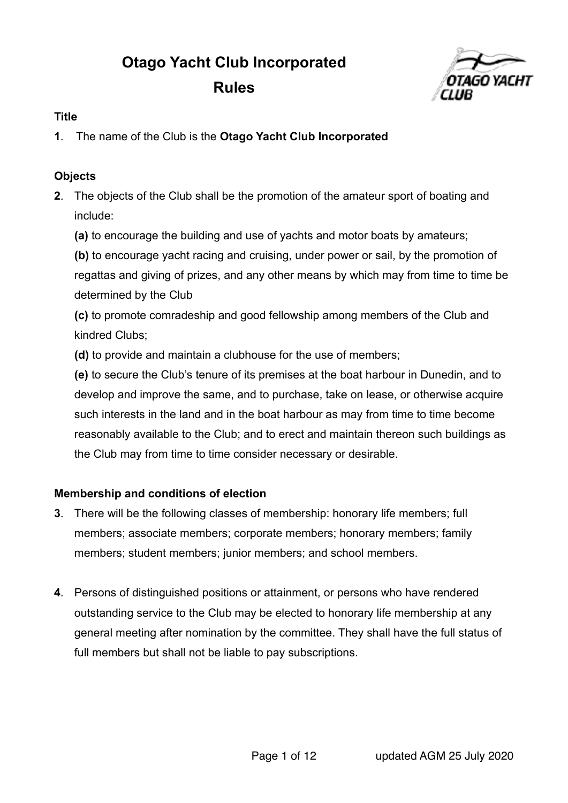# **Otago Yacht Club Incorporated Rules**



### **Title**

**1**. The name of the Club is the **Otago Yacht Club Incorporated**

#### **Objects**

- **2**. The objects of the Club shall be the promotion of the amateur sport of boating and include:
	- **(a)** to encourage the building and use of yachts and motor boats by amateurs;

**(b)** to encourage yacht racing and cruising, under power or sail, by the promotion of regattas and giving of prizes, and any other means by which may from time to time be determined by the Club

**(c)** to promote comradeship and good fellowship among members of the Club and kindred Clubs;

**(d)** to provide and maintain a clubhouse for the use of members;

**(e)** to secure the Club's tenure of its premises at the boat harbour in Dunedin, and to develop and improve the same, and to purchase, take on lease, or otherwise acquire such interests in the land and in the boat harbour as may from time to time become reasonably available to the Club; and to erect and maintain thereon such buildings as the Club may from time to time consider necessary or desirable.

# **Membership and conditions of election**

- **3**. There will be the following classes of membership: honorary life members; full members; associate members; corporate members; honorary members; family members; student members; junior members; and school members.
- **4**. Persons of distinguished positions or attainment, or persons who have rendered outstanding service to the Club may be elected to honorary life membership at any general meeting after nomination by the committee. They shall have the full status of full members but shall not be liable to pay subscriptions.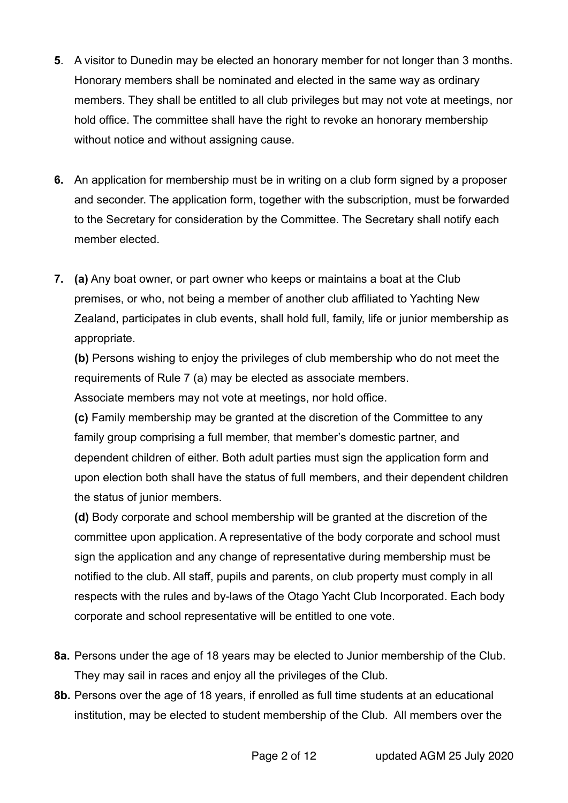- **5**. A visitor to Dunedin may be elected an honorary member for not longer than 3 months. Honorary members shall be nominated and elected in the same way as ordinary members. They shall be entitled to all club privileges but may not vote at meetings, nor hold office. The committee shall have the right to revoke an honorary membership without notice and without assigning cause.
- **6.** An application for membership must be in writing on a club form signed by a proposer and seconder. The application form, together with the subscription, must be forwarded to the Secretary for consideration by the Committee. The Secretary shall notify each member elected.
- **7. (a)** Any boat owner, or part owner who keeps or maintains a boat at the Club premises, or who, not being a member of another club affiliated to Yachting New Zealand, participates in club events, shall hold full, family, life or junior membership as appropriate.

**(b)** Persons wishing to enjoy the privileges of club membership who do not meet the requirements of Rule 7 (a) may be elected as associate members.

Associate members may not vote at meetings, nor hold office.

**(c)** Family membership may be granted at the discretion of the Committee to any family group comprising a full member, that member's domestic partner, and dependent children of either. Both adult parties must sign the application form and upon election both shall have the status of full members, and their dependent children the status of junior members.

**(d)** Body corporate and school membership will be granted at the discretion of the committee upon application. A representative of the body corporate and school must sign the application and any change of representative during membership must be notified to the club. All staff, pupils and parents, on club property must comply in all respects with the rules and by-laws of the Otago Yacht Club Incorporated. Each body corporate and school representative will be entitled to one vote.

- **8a.** Persons under the age of 18 years may be elected to Junior membership of the Club. They may sail in races and enjoy all the privileges of the Club.
- **8b.** Persons over the age of 18 years, if enrolled as full time students at an educational institution, may be elected to student membership of the Club. All members over the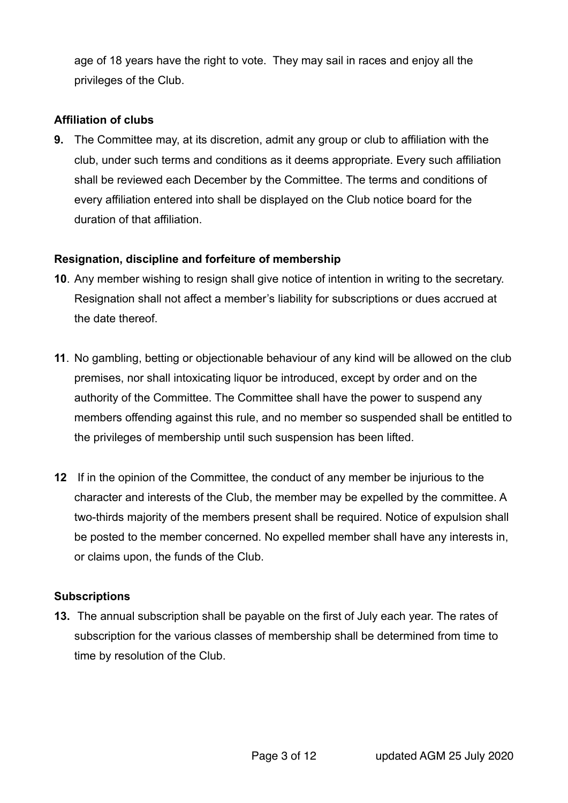age of 18 years have the right to vote. They may sail in races and enjoy all the privileges of the Club.

#### **Affiliation of clubs**

**9.** The Committee may, at its discretion, admit any group or club to affiliation with the club, under such terms and conditions as it deems appropriate. Every such affiliation shall be reviewed each December by the Committee. The terms and conditions of every affiliation entered into shall be displayed on the Club notice board for the duration of that affiliation.

#### **Resignation, discipline and forfeiture of membership**

- **10**. Any member wishing to resign shall give notice of intention in writing to the secretary. Resignation shall not affect a member's liability for subscriptions or dues accrued at the date thereof.
- **11**. No gambling, betting or objectionable behaviour of any kind will be allowed on the club premises, nor shall intoxicating liquor be introduced, except by order and on the authority of the Committee. The Committee shall have the power to suspend any members offending against this rule, and no member so suspended shall be entitled to the privileges of membership until such suspension has been lifted.
- **12** If in the opinion of the Committee, the conduct of any member be injurious to the character and interests of the Club, the member may be expelled by the committee. A two-thirds majority of the members present shall be required. Notice of expulsion shall be posted to the member concerned. No expelled member shall have any interests in, or claims upon, the funds of the Club.

#### **Subscriptions**

**13.** The annual subscription shall be payable on the first of July each year. The rates of subscription for the various classes of membership shall be determined from time to time by resolution of the Club.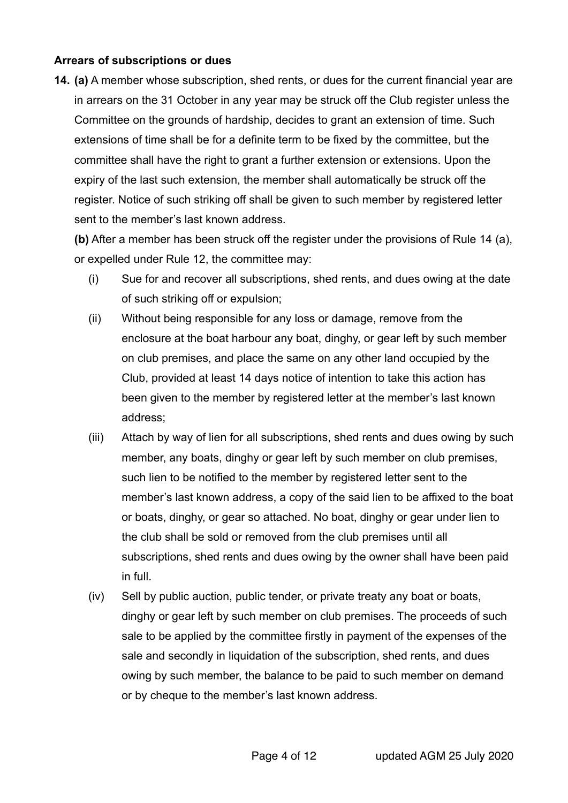#### **Arrears of subscriptions or dues**

**14. (a)** A member whose subscription, shed rents, or dues for the current financial year are in arrears on the 31 October in any year may be struck off the Club register unless the Committee on the grounds of hardship, decides to grant an extension of time. Such extensions of time shall be for a definite term to be fixed by the committee, but the committee shall have the right to grant a further extension or extensions. Upon the expiry of the last such extension, the member shall automatically be struck off the register. Notice of such striking off shall be given to such member by registered letter sent to the member's last known address.

**(b)** After a member has been struck off the register under the provisions of Rule 14 (a), or expelled under Rule 12, the committee may:

- (i) Sue for and recover all subscriptions, shed rents, and dues owing at the date of such striking off or expulsion;
- (ii) Without being responsible for any loss or damage, remove from the enclosure at the boat harbour any boat, dinghy, or gear left by such member on club premises, and place the same on any other land occupied by the Club, provided at least 14 days notice of intention to take this action has been given to the member by registered letter at the member's last known address;
- (iii) Attach by way of lien for all subscriptions, shed rents and dues owing by such member, any boats, dinghy or gear left by such member on club premises, such lien to be notified to the member by registered letter sent to the member's last known address, a copy of the said lien to be affixed to the boat or boats, dinghy, or gear so attached. No boat, dinghy or gear under lien to the club shall be sold or removed from the club premises until all subscriptions, shed rents and dues owing by the owner shall have been paid in full.
- (iv) Sell by public auction, public tender, or private treaty any boat or boats, dinghy or gear left by such member on club premises. The proceeds of such sale to be applied by the committee firstly in payment of the expenses of the sale and secondly in liquidation of the subscription, shed rents, and dues owing by such member, the balance to be paid to such member on demand or by cheque to the member's last known address.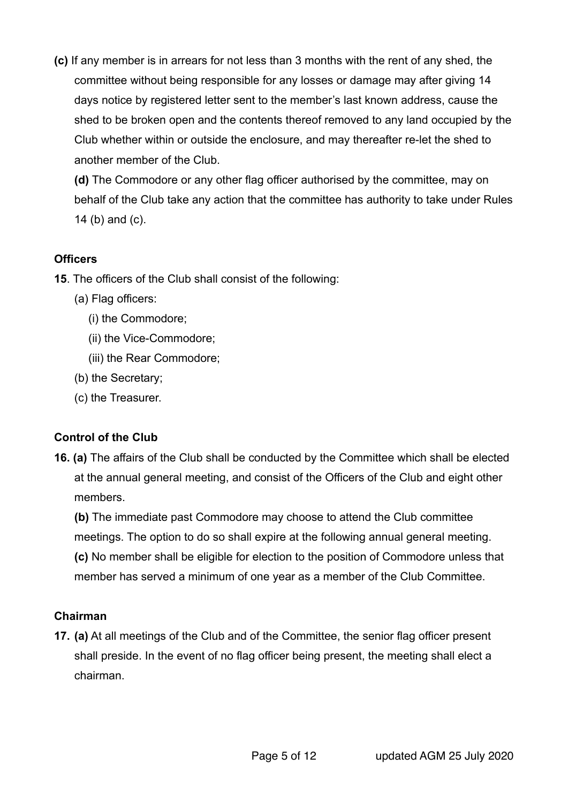**(c)** If any member is in arrears for not less than 3 months with the rent of any shed, the committee without being responsible for any losses or damage may after giving 14 days notice by registered letter sent to the member's last known address, cause the shed to be broken open and the contents thereof removed to any land occupied by the Club whether within or outside the enclosure, and may thereafter re-let the shed to another member of the Club.

**(d)** The Commodore or any other flag officer authorised by the committee, may on behalf of the Club take any action that the committee has authority to take under Rules 14 (b) and (c).

#### **Officers**

- **15**. The officers of the Club shall consist of the following:
	- (a) Flag officers:
		- (i) the Commodore;
		- (ii) the Vice-Commodore;
		- (iii) the Rear Commodore;
	- (b) the Secretary;
	- (c) the Treasurer.

# **Control of the Club**

**16. (a)** The affairs of the Club shall be conducted by the Committee which shall be elected at the annual general meeting, and consist of the Officers of the Club and eight other members.

**(b)** The immediate past Commodore may choose to attend the Club committee meetings. The option to do so shall expire at the following annual general meeting. **(c)** No member shall be eligible for election to the position of Commodore unless that member has served a minimum of one year as a member of the Club Committee.

# **Chairman**

**17. (a)** At all meetings of the Club and of the Committee, the senior flag officer present shall preside. In the event of no flag officer being present, the meeting shall elect a chairman.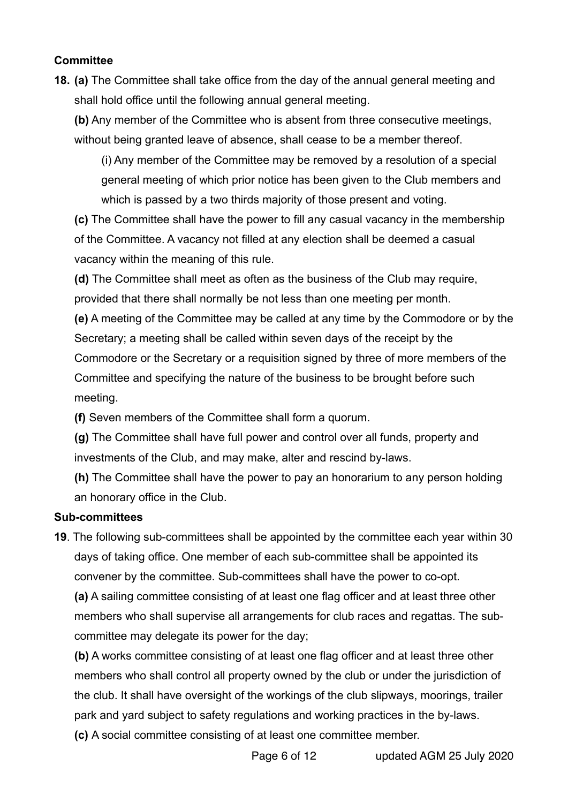#### **Committee**

**18. (a)** The Committee shall take office from the day of the annual general meeting and shall hold office until the following annual general meeting.

**(b)** Any member of the Committee who is absent from three consecutive meetings, without being granted leave of absence, shall cease to be a member thereof.

(i) Any member of the Committee may be removed by a resolution of a special general meeting of which prior notice has been given to the Club members and which is passed by a two thirds majority of those present and voting.

**(c)** The Committee shall have the power to fill any casual vacancy in the membership of the Committee. A vacancy not filled at any election shall be deemed a casual vacancy within the meaning of this rule.

**(d)** The Committee shall meet as often as the business of the Club may require, provided that there shall normally be not less than one meeting per month.

**(e)** A meeting of the Committee may be called at any time by the Commodore or by the Secretary; a meeting shall be called within seven days of the receipt by the Commodore or the Secretary or a requisition signed by three of more members of the Committee and specifying the nature of the business to be brought before such meeting.

**(f)** Seven members of the Committee shall form a quorum.

**(g)** The Committee shall have full power and control over all funds, property and investments of the Club, and may make, alter and rescind by-laws.

**(h)** The Committee shall have the power to pay an honorarium to any person holding an honorary office in the Club.

# **Sub-committees**

**19**. The following sub-committees shall be appointed by the committee each year within 30 days of taking office. One member of each sub-committee shall be appointed its convener by the committee. Sub-committees shall have the power to co-opt.

**(a)** A sailing committee consisting of at least one flag officer and at least three other members who shall supervise all arrangements for club races and regattas. The subcommittee may delegate its power for the day;

**(b)** A works committee consisting of at least one flag officer and at least three other members who shall control all property owned by the club or under the jurisdiction of the club. It shall have oversight of the workings of the club slipways, moorings, trailer park and yard subject to safety regulations and working practices in the by-laws. **(c)** A social committee consisting of at least one committee member.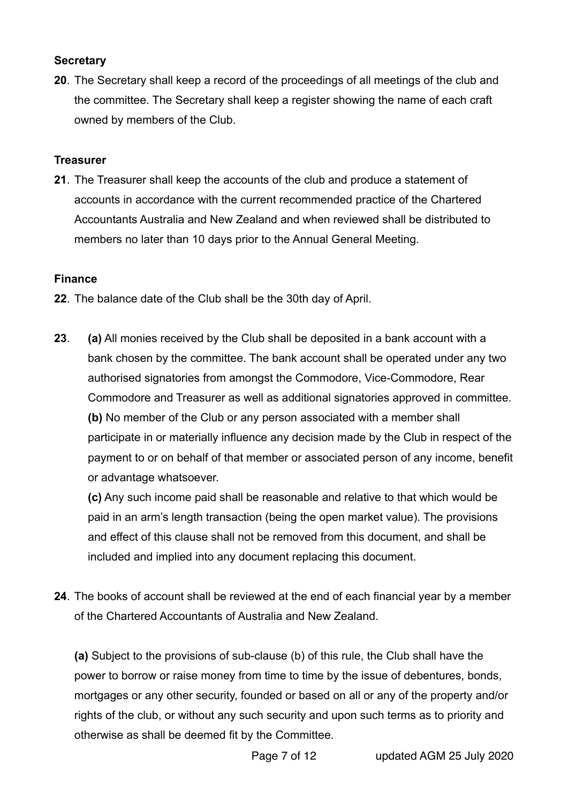#### **Secretary**

**20**. The Secretary shall keep a record of the proceedings of all meetings of the club and the committee. The Secretary shall keep a register showing the name of each craft owned by members of the Club.

### **Treasurer**

**21**. The Treasurer shall keep the accounts of the club and produce a statement of accounts in accordance with the current recommended practice of the Chartered Accountants Australia and New Zealand and when reviewed shall be distributed to members no later than 10 days prior to the Annual General Meeting.

### **Finance**

- **22**. The balance date of the Club shall be the 30th day of April.
- **23**. **(a)** All monies received by the Club shall be deposited in a bank account with a bank chosen by the committee. The bank account shall be operated under any two authorised signatories from amongst the Commodore, Vice-Commodore, Rear Commodore and Treasurer as well as additional signatories approved in committee. **(b)** No member of the Club or any person associated with a member shall participate in or materially influence any decision made by the Club in respect of the payment to or on behalf of that member or associated person of any income, benefit or advantage whatsoever.

**(c)** Any such income paid shall be reasonable and relative to that which would be paid in an arm's length transaction (being the open market value). The provisions and effect of this clause shall not be removed from this document, and shall be included and implied into any document replacing this document.

**24**. The books of account shall be reviewed at the end of each financial year by a member of the Chartered Accountants of Australia and New Zealand.

**(a)** Subject to the provisions of sub-clause (b) of this rule, the Club shall have the power to borrow or raise money from time to time by the issue of debentures, bonds, mortgages or any other security, founded or based on all or any of the property and/or rights of the club, or without any such security and upon such terms as to priority and otherwise as shall be deemed fit by the Committee.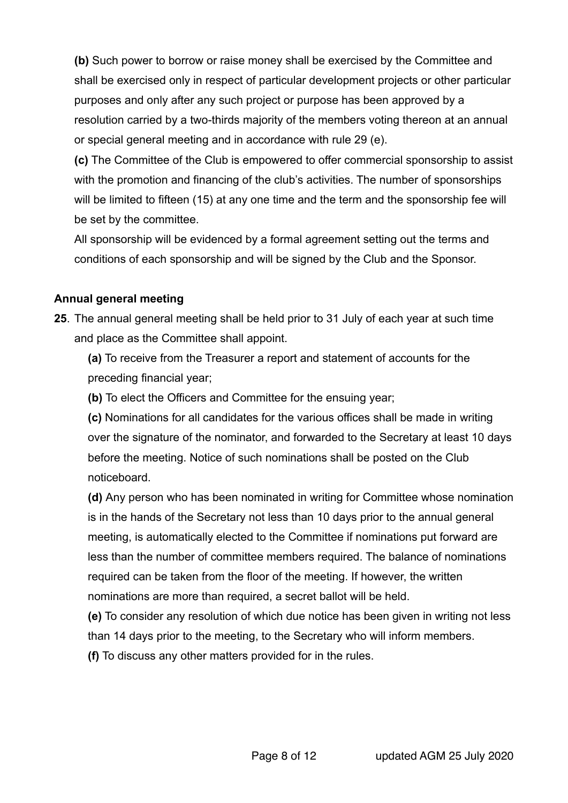**(b)** Such power to borrow or raise money shall be exercised by the Committee and shall be exercised only in respect of particular development projects or other particular purposes and only after any such project or purpose has been approved by a resolution carried by a two-thirds majority of the members voting thereon at an annual or special general meeting and in accordance with rule 29 (e).

**(c)** The Committee of the Club is empowered to offer commercial sponsorship to assist with the promotion and financing of the club's activities. The number of sponsorships will be limited to fifteen (15) at any one time and the term and the sponsorship fee will be set by the committee.

All sponsorship will be evidenced by a formal agreement setting out the terms and conditions of each sponsorship and will be signed by the Club and the Sponsor.

#### **Annual general meeting**

**25**. The annual general meeting shall be held prior to 31 July of each year at such time and place as the Committee shall appoint.

**(a)** To receive from the Treasurer a report and statement of accounts for the preceding financial year;

**(b)** To elect the Officers and Committee for the ensuing year;

**(c)** Nominations for all candidates for the various offices shall be made in writing over the signature of the nominator, and forwarded to the Secretary at least 10 days before the meeting. Notice of such nominations shall be posted on the Club noticeboard.

**(d)** Any person who has been nominated in writing for Committee whose nomination is in the hands of the Secretary not less than 10 days prior to the annual general meeting, is automatically elected to the Committee if nominations put forward are less than the number of committee members required. The balance of nominations required can be taken from the floor of the meeting. If however, the written nominations are more than required, a secret ballot will be held.

**(e)** To consider any resolution of which due notice has been given in writing not less than 14 days prior to the meeting, to the Secretary who will inform members. **(f)** To discuss any other matters provided for in the rules.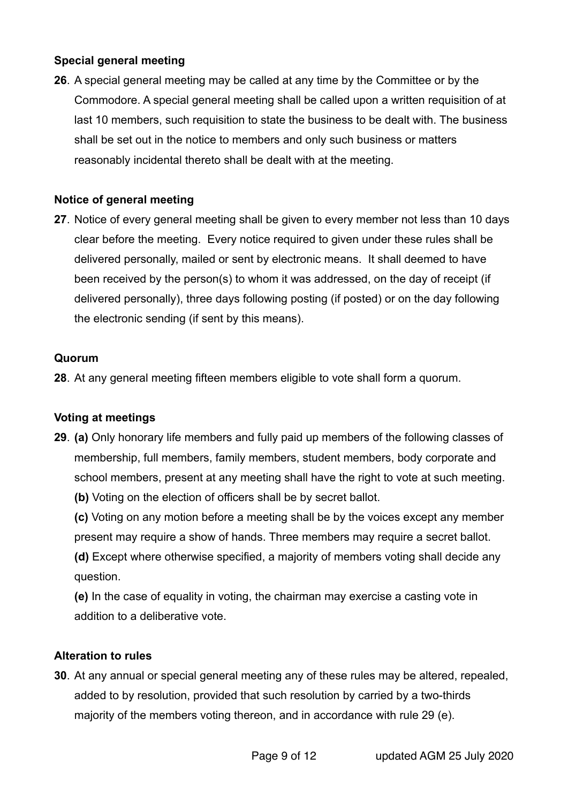#### **Special general meeting**

**26**. A special general meeting may be called at any time by the Committee or by the Commodore. A special general meeting shall be called upon a written requisition of at last 10 members, such requisition to state the business to be dealt with. The business shall be set out in the notice to members and only such business or matters reasonably incidental thereto shall be dealt with at the meeting.

## **Notice of general meeting**

**27**. Notice of every general meeting shall be given to every member not less than 10 days clear before the meeting. Every notice required to given under these rules shall be delivered personally, mailed or sent by electronic means. It shall deemed to have been received by the person(s) to whom it was addressed, on the day of receipt (if delivered personally), three days following posting (if posted) or on the day following the electronic sending (if sent by this means).

#### **Quorum**

**28**. At any general meeting fifteen members eligible to vote shall form a quorum.

# **Voting at meetings**

- **29**. **(a)** Only honorary life members and fully paid up members of the following classes of membership, full members, family members, student members, body corporate and school members, present at any meeting shall have the right to vote at such meeting.
	- **(b)** Voting on the election of officers shall be by secret ballot.
	- **(c)** Voting on any motion before a meeting shall be by the voices except any member present may require a show of hands. Three members may require a secret ballot. **(d)** Except where otherwise specified, a majority of members voting shall decide any
	- question.
	- **(e)** In the case of equality in voting, the chairman may exercise a casting vote in addition to a deliberative vote.

#### **Alteration to rules**

**30**. At any annual or special general meeting any of these rules may be altered, repealed, added to by resolution, provided that such resolution by carried by a two-thirds majority of the members voting thereon, and in accordance with rule 29 (e).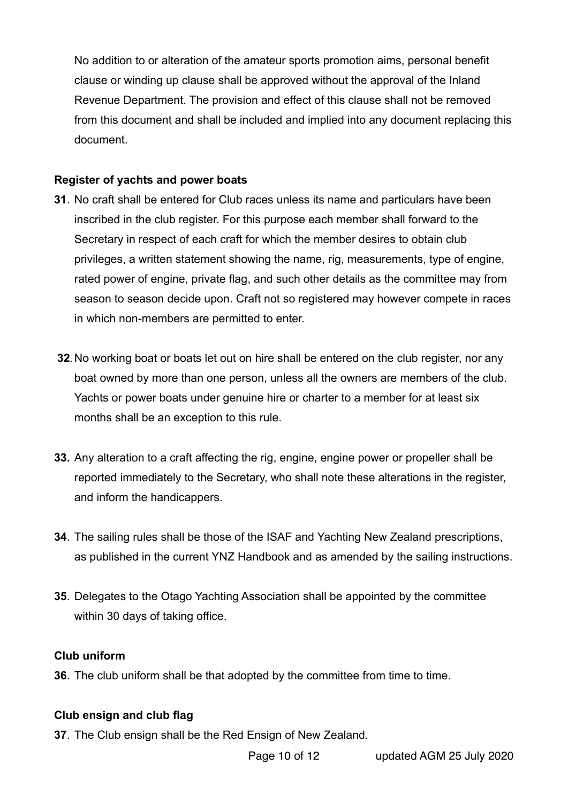No addition to or alteration of the amateur sports promotion aims, personal benefit clause or winding up clause shall be approved without the approval of the Inland Revenue Department. The provision and effect of this clause shall not be removed from this document and shall be included and implied into any document replacing this document.

#### **Register of yachts and power boats**

- **31**. No craft shall be entered for Club races unless its name and particulars have been inscribed in the club register. For this purpose each member shall forward to the Secretary in respect of each craft for which the member desires to obtain club privileges, a written statement showing the name, rig, measurements, type of engine, rated power of engine, private flag, and such other details as the committee may from season to season decide upon. Craft not so registered may however compete in races in which non-members are permitted to enter.
- **32**. No working boat or boats let out on hire shall be entered on the club register, nor any boat owned by more than one person, unless all the owners are members of the club. Yachts or power boats under genuine hire or charter to a member for at least six months shall be an exception to this rule.
- **33.** Any alteration to a craft affecting the rig, engine, engine power or propeller shall be reported immediately to the Secretary, who shall note these alterations in the register, and inform the handicappers.
- **34**. The sailing rules shall be those of the ISAF and Yachting New Zealand prescriptions, as published in the current YNZ Handbook and as amended by the sailing instructions.
- **35**. Delegates to the Otago Yachting Association shall be appointed by the committee within 30 days of taking office.

#### **Club uniform**

**36**. The club uniform shall be that adopted by the committee from time to time.

#### **Club ensign and club flag**

**37**. The Club ensign shall be the Red Ensign of New Zealand.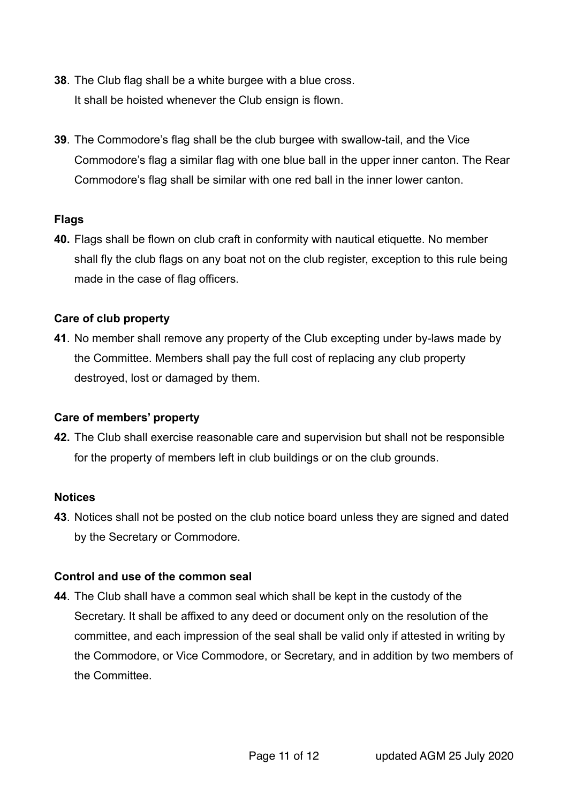- **38**. The Club flag shall be a white burgee with a blue cross. It shall be hoisted whenever the Club ensign is flown.
- **39**. The Commodore's flag shall be the club burgee with swallow-tail, and the Vice Commodore's flag a similar flag with one blue ball in the upper inner canton. The Rear Commodore's flag shall be similar with one red ball in the inner lower canton.

#### **Flags**

**40.** Flags shall be flown on club craft in conformity with nautical etiquette. No member shall fly the club flags on any boat not on the club register, exception to this rule being made in the case of flag officers.

#### **Care of club property**

**41**. No member shall remove any property of the Club excepting under by-laws made by the Committee. Members shall pay the full cost of replacing any club property destroyed, lost or damaged by them.

#### **Care of members' property**

**42.** The Club shall exercise reasonable care and supervision but shall not be responsible for the property of members left in club buildings or on the club grounds.

#### **Notices**

**43**. Notices shall not be posted on the club notice board unless they are signed and dated by the Secretary or Commodore.

#### **Control and use of the common seal**

**44**. The Club shall have a common seal which shall be kept in the custody of the Secretary. It shall be affixed to any deed or document only on the resolution of the committee, and each impression of the seal shall be valid only if attested in writing by the Commodore, or Vice Commodore, or Secretary, and in addition by two members of the Committee.